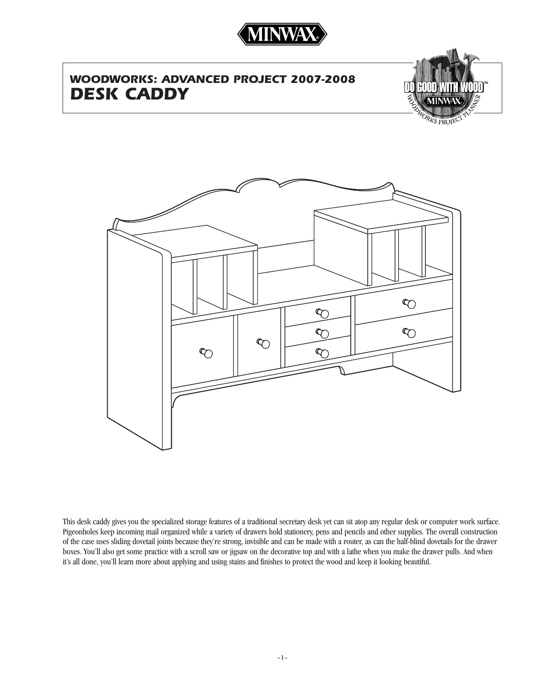

# *WOODWORKS: ADVANCED PROJECT 2007-2008 DESK CADDY*



 $\infty$  $\infty$  $\infty$  $\infty$  $\infty$  $\infty$  $\infty$ 

This desk caddy gives you the specialized storage features of a traditional secretary desk yet can sit atop any regular desk or computer work surface. Pigeonholes keep incoming mail organized while a variety of drawers hold stationery, pens and pencils and other supplies. The overall construction of the case uses sliding dovetail joints because they're strong, invisible and can be made with a router, as can the half-blind dovetails for the drawer boxes. You'll also get some practice with a scroll saw or jigsaw on the decorative top and with a lathe when you make the drawer pulls. And when it's all done, you'll learn more about applying and using stains and finishes to protect the wood and keep it looking beautiful.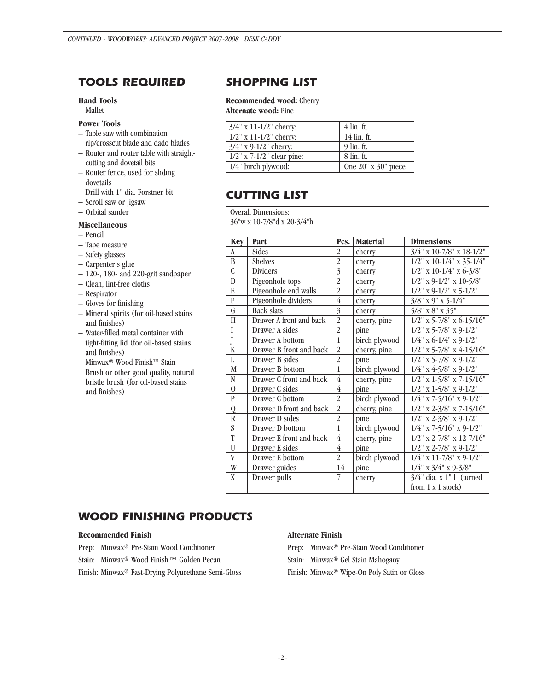### *TOOLS REQUIRED SHOPPING LIST*

#### **Hand Tools**

– Mallet

#### **Power Tools**

- Table saw with combination
- rip/crosscut blade and dado blades – Router and router table with straight-
- cutting and dovetail bits – Router fence, used for sliding dovetails
- Drill with 1" dia. Forstner bit
- Scroll saw or jigsaw
- Orbital sander

#### **Miscellaneous**

- Pencil
- Tape measure
- Safety glasses
- Carpenter's glue
- 120-, 180- and 220-grit sandpaper
- Clean, lint-free cloths
- Respirator
- Gloves for finishing
- Mineral spirits (for oil-based stains and finishes)
- Water-filled metal container with tight-fitting lid (for oil-based stains and finishes)
- Minwax® Wood Finish™ Stain Brush or other good quality, natural bristle brush (for oil-based stains and finishes)

**Recommended wood:** Cherry **Alternate wood:** Pine

| $3/4$ " x 11-1/2" cherry:    | 4 lin. ft.                |
|------------------------------|---------------------------|
| $1/2$ " x $11-1/2$ " cherry: | 14 lin. ft.               |
| $3/4$ " x 9-1/2" cherry:     | 9 lin. ft.                |
| $1/2$ " x 7-1/2" clear pine: | 8 lin. ft.                |
| 1/4" birch plywood:          | One $20''$ x $30''$ piece |

### *CUTTING LIST*

Overall Dimensions:

36"w x 10-7/8"d x 20-3/4"h

| <b>Key</b>     | Part                    | Pcs.           | <b>Material</b> | <b>Dimensions</b>                 |
|----------------|-------------------------|----------------|-----------------|-----------------------------------|
| $\mathbf{A}$   | Sides                   | $\overline{2}$ | cherry          | $3/4$ " x 10-7/8" x 18-1/2"       |
| B              | <b>Shelves</b>          | $\overline{2}$ | cherry          | $1/2$ " x 10-1/4" x 35-1/4"       |
| $\overline{C}$ | <b>Dividers</b>         | $\overline{3}$ | cherry          | $1/2$ " x 10-1/4" x 6-3/8"        |
| $\mathbf{D}$   | Pigeonhole tops         | $\overline{2}$ | cherry          | $1/2$ " x 9- $1/2$ " x 10-5/8"    |
| E              | Pigeonhole end walls    | $\overline{2}$ | cherry          | $1/2$ " x 9- $1/2$ " x 5- $1/2$ " |
| F              | Pigeonhole dividers     | 4              | cherry          | $3/8$ " x 9" x 5-1/4"             |
| G              | <b>Back slats</b>       | $\overline{3}$ | cherry          | $5/8$ " x $8$ " x $35$ "          |
| H              | Drawer A front and back | $\overline{2}$ | cherry, pine    | $1/2$ " x 5-7/8" x 6-15/16"       |
| I              | Drawer A sides          | $\overline{2}$ | pine            | $1/2$ " x 5-7/8" x 9-1/2"         |
|                | Drawer A bottom         | $\mathbf{1}$   | birch plywood   | $1/4$ " x 6-1/4" x 9-1/2"         |
| K              | Drawer B front and back | $\overline{2}$ | cherry, pine    | $1/2$ " x 5-7/8" x 4-15/16"       |
| L              | Drawer B sides          | $\overline{2}$ | pine            | $1/2$ " x 5-7/8" x 9-1/2"         |
| M              | Drawer B bottom         | $\mathbf{1}$   | birch plywood   | $1/4$ " x 4-5/8" x 9-1/2"         |
| N              | Drawer C front and back | $\overline{4}$ | cherry, pine    | $1/2$ " x 1-5/8" x 7-15/16"       |
| $\theta$       | Drawer C sides          | $\overline{4}$ | pine            | $1/2$ " x $1-5/8$ " x $9-1/2$ "   |
| $\mathbf{P}$   | Drawer C bottom         | $\overline{2}$ | birch plywood   | $1/4$ " x 7-5/16" x 9-1/2"        |
| $\overline{Q}$ | Drawer D front and back | $\overline{2}$ | cherry, pine    | $1/2$ " x 2-3/8" x 7-15/16"       |
| R              | Drawer D sides          | $\overline{2}$ | pine            | $1/2$ " x $2-3/8$ " x $9-1/2$ "   |
| S              | Drawer D bottom         | $\mathbf{1}$   | birch plywood   | $1/4$ " x 7-5/16" x 9-1/2"        |
| T              | Drawer E front and back | $\overline{4}$ | cherry, pine    | $1/2$ " x 2-7/8" x 12-7/16"       |
| U              | Drawer E sides          | $\overline{4}$ | pine            | $1/2$ " x 2-7/8" x 9-1/2"         |
| V              | Drawer E bottom         | $\overline{2}$ | birch plywood   | $1/4$ " x 11-7/8" x 9-1/2"        |
| W              | Drawer guides           | 14             | pine            | $1/4$ " x $3/4$ " x $9-3/8$ "     |
| X              | Drawer pulls            | 7              | cherry          | 3/4" dia. x 1" l (turned          |
|                |                         |                |                 | from $1 \times 1$ stock)          |

### *WOOD FINISHING PRODUCTS*

#### **Recommended Finish**

- Prep: Minwax® Pre-Stain Wood Conditioner
- Stain: Minwax® Wood Finish™ Golden Pecan

Finish: Minwax® Fast-Drying Polyurethane Semi-Gloss

### **Alternate Finish**

Prep: Minwax® Pre-Stain Wood Conditioner Stain: Minwax® Gel Stain Mahogany Finish: Minwax® Wipe-On Poly Satin or Gloss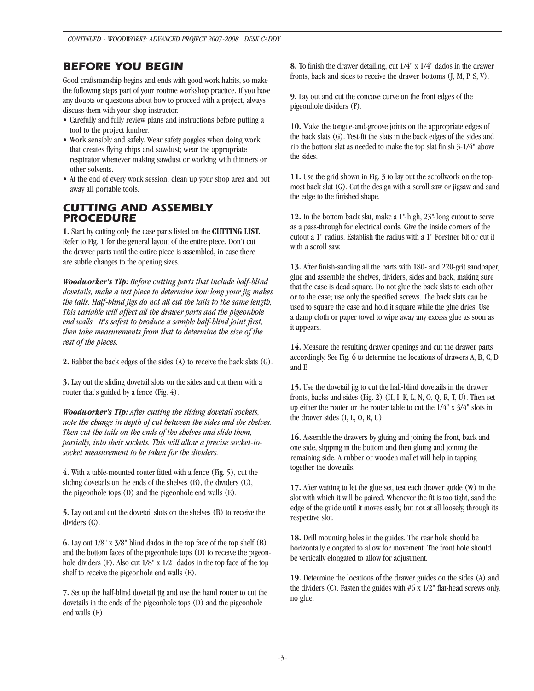### *BEFORE YOU BEGIN*

Good craftsmanship begins and ends with good work habits, so make the following steps part of your routine workshop practice. If you have any doubts or questions about how to proceed with a project, always discuss them with your shop instructor.

- Carefully and fully review plans and instructions before putting a tool to the project lumber.
- Work sensibly and safely. Wear safety goggles when doing work that creates flying chips and sawdust; wear the appropriate respirator whenever making sawdust or working with thinners or other solvents.
- At the end of every work session, clean up your shop area and put away all portable tools.

### *CUTTING AND ASSEMBLY PROCEDURE*

**1.** Start by cutting only the case parts listed on the **CUTTING LIST.** Refer to Fig. 1 for the general layout of the entire piece. Don't cut the drawer parts until the entire piece is assembled, in case there are subtle changes to the opening sizes.

*Woodworker's Tip: Before cutting parts that include half-blind dovetails, make a test piece to determine how long your jig makes the tails. Half-blind jigs do not all cut the tails to the same length, This variable will affect all the drawer parts and the pigeonhole end walls. It's safest to produce a sample half-blind joint first, then take measurements from that to determine the size of the rest of the pieces.*

**2.** Rabbet the back edges of the sides (A) to receive the back slats (G).

**3.** Lay out the sliding dovetail slots on the sides and cut them with a router that's guided by a fence (Fig. 4).

*Woodworker's Tip: After cutting the sliding dovetail sockets, note the change in depth of cut between the sides and the shelves. Then cut the tails on the ends of the shelves and slide them, partially, into their sockets. This will allow a precise socket-tosocket measurement to be taken for the dividers.*

**4.** With a table-mounted router fitted with a fence (Fig. 5), cut the sliding dovetails on the ends of the shelves (B), the dividers (C), the pigeonhole tops (D) and the pigeonhole end walls (E).

**5.** Lay out and cut the dovetail slots on the shelves (B) to receive the dividers (C).

**6.** Lay out 1/8" x 3/8" blind dados in the top face of the top shelf (B) and the bottom faces of the pigeonhole tops (D) to receive the pigeonhole dividers (F). Also cut  $1/8$ " x  $1/2$ " dados in the top face of the top shelf to receive the pigeonhole end walls (E).

**7.** Set up the half-blind dovetail jig and use the hand router to cut the dovetails in the ends of the pigeonhole tops (D) and the pigeonhole end walls (E).

**8.** To finish the drawer detailing, cut 1/4" x 1/4" dados in the drawer fronts, back and sides to receive the drawer bottoms (J, M, P, S, V).

**9.** Lay out and cut the concave curve on the front edges of the pigeonhole dividers (F).

**10.** Make the tongue-and-groove joints on the appropriate edges of the back slats (G). Test-fit the slats in the back edges of the sides and rip the bottom slat as needed to make the top slat finish 3-1/4" above the sides.

**11.** Use the grid shown in Fig. 3 to lay out the scrollwork on the topmost back slat (G). Cut the design with a scroll saw or jigsaw and sand the edge to the finished shape.

**12.** In the bottom back slat, make a 1"-high, 23"-long cutout to serve as a pass-through for electrical cords. Give the inside corners of the cutout a 1" radius. Establish the radius with a 1" Forstner bit or cut it with a scroll saw.

**13.** After finish-sanding all the parts with 180- and 220-grit sandpaper, glue and assemble the shelves, dividers, sides and back, making sure that the case is dead square. Do not glue the back slats to each other or to the case; use only the specified screws. The back slats can be used to square the case and hold it square while the glue dries. Use a damp cloth or paper towel to wipe away any excess glue as soon as it appears.

**14.** Measure the resulting drawer openings and cut the drawer parts accordingly. See Fig. 6 to determine the locations of drawers A, B, C, D and E.

**15.** Use the dovetail jig to cut the half-blind dovetails in the drawer fronts, backs and sides (Fig. 2)  $(H, I, K, L, N, O, Q, R, T, U)$ . Then set up either the router or the router table to cut the 1/4" x 3/4" slots in the drawer sides (I, L, O, R, U).

**16.** Assemble the drawers by gluing and joining the front, back and one side, slipping in the bottom and then gluing and joining the remaining side. A rubber or wooden mallet will help in tapping together the dovetails.

**17.** After waiting to let the glue set, test each drawer guide (W) in the slot with which it will be paired. Whenever the fit is too tight, sand the edge of the guide until it moves easily, but not at all loosely, through its respective slot.

**18.** Drill mounting holes in the guides. The rear hole should be horizontally elongated to allow for movement. The front hole should be vertically elongated to allow for adjustment.

**19.** Determine the locations of the drawer guides on the sides (A) and the dividers (C). Fasten the guides with #6 x 1/2" flat-head screws only, no glue.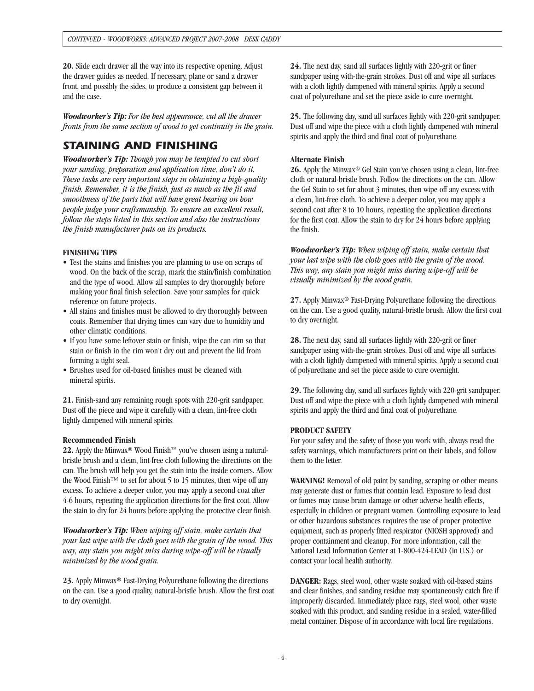**20.** Slide each drawer all the way into its respective opening. Adjust the drawer guides as needed. If necessary, plane or sand a drawer front, and possibly the sides, to produce a consistent gap between it and the case.

*Woodworker's Tip: For the best appearance, cut all the drawer fronts from the same section of wood to get continuity in the grain.*

## *STAINING AND FINISHING*

*Woodworker's Tip: Though you may be tempted to cut short your sanding, preparation and application time, don't do it. These tasks are very important steps in obtaining a high-quality finish. Remember, it is the finish, just as much as the fit and smoothness of the parts that will have great bearing on how people judge your craftsmanship. To ensure an excellent result, follow the steps listed in this section and also the instructions the finish manufacturer puts on its products.*

#### **FINISHING TIPS**

- Test the stains and finishes you are planning to use on scraps of wood. On the back of the scrap, mark the stain/finish combination and the type of wood. Allow all samples to dry thoroughly before making your final finish selection. Save your samples for quick reference on future projects.
- All stains and finishes must be allowed to dry thoroughly between coats. Remember that drying times can vary due to humidity and other climatic conditions.
- If you have some leftover stain or finish, wipe the can rim so that stain or finish in the rim won't dry out and prevent the lid from forming a tight seal.
- Brushes used for oil-based finishes must be cleaned with mineral spirits.

**21.** Finish-sand any remaining rough spots with 220-grit sandpaper. Dust off the piece and wipe it carefully with a clean, lint-free cloth lightly dampened with mineral spirits.

#### **Recommended Finish**

**22.** Apply the Minwax® Wood Finish™ you've chosen using a naturalbristle brush and a clean, lint-free cloth following the directions on the can. The brush will help you get the stain into the inside corners. Allow the Wood Finish™ to set for about 5 to 15 minutes, then wipe off any excess. To achieve a deeper color, you may apply a second coat after 4-6 hours, repeating the application directions for the first coat. Allow the stain to dry for 24 hours before applying the protective clear finish.

*Woodworker's Tip: When wiping off stain, make certain that your last wipe with the cloth goes with the grain of the wood. This way, any stain you might miss during wipe-off will be visually minimized by the wood grain.*

**23.** Apply Minwax® Fast-Drying Polyurethane following the directions on the can. Use a good quality, natural-bristle brush. Allow the first coat to dry overnight.

**24.** The next day, sand all surfaces lightly with 220-grit or finer sandpaper using with-the-grain strokes. Dust off and wipe all surfaces with a cloth lightly dampened with mineral spirits. Apply a second coat of polyurethane and set the piece aside to cure overnight.

**25.** The following day, sand all surfaces lightly with 220-grit sandpaper. Dust off and wipe the piece with a cloth lightly dampened with mineral spirits and apply the third and final coat of polyurethane.

### **Alternate Finish**

**26.** Apply the Minwax® Gel Stain you've chosen using a clean, lint-free cloth or natural-bristle brush. Follow the directions on the can. Allow the Gel Stain to set for about 3 minutes, then wipe off any excess with a clean, lint-free cloth. To achieve a deeper color, you may apply a second coat after 8 to 10 hours, repeating the application directions for the first coat. Allow the stain to dry for 24 hours before applying the finish.

*Woodworker's Tip: When wiping off stain, make certain that your last wipe with the cloth goes with the grain of the wood. This way, any stain you might miss during wipe-off will be visually minimized by the wood grain.*

**27.** Apply Minwax® Fast-Drying Polyurethane following the directions on the can. Use a good quality, natural-bristle brush. Allow the first coat to dry overnight.

**28.** The next day, sand all surfaces lightly with 220-grit or finer sandpaper using with-the-grain strokes. Dust off and wipe all surfaces with a cloth lightly dampened with mineral spirits. Apply a second coat of polyurethane and set the piece aside to cure overnight.

**29.** The following day, sand all surfaces lightly with 220-grit sandpaper. Dust off and wipe the piece with a cloth lightly dampened with mineral spirits and apply the third and final coat of polyurethane.

#### **PRODUCT SAFETY**

For your safety and the safety of those you work with, always read the safety warnings, which manufacturers print on their labels, and follow them to the letter.

**WARNING!** Removal of old paint by sanding, scraping or other means may generate dust or fumes that contain lead. Exposure to lead dust or fumes may cause brain damage or other adverse health effects, especially in children or pregnant women. Controlling exposure to lead or other hazardous substances requires the use of proper protective equipment, such as properly fitted respirator (NIOSH approved) and proper containment and cleanup. For more information, call the National Lead Information Center at 1-800-424-LEAD (in U.S.) or contact your local health authority.

**DANGER:** Rags, steel wool, other waste soaked with oil-based stains and clear finishes, and sanding residue may spontaneously catch fire if improperly discarded. Immediately place rags, steel wool, other waste soaked with this product, and sanding residue in a sealed, water-filled metal container. Dispose of in accordance with local fire regulations.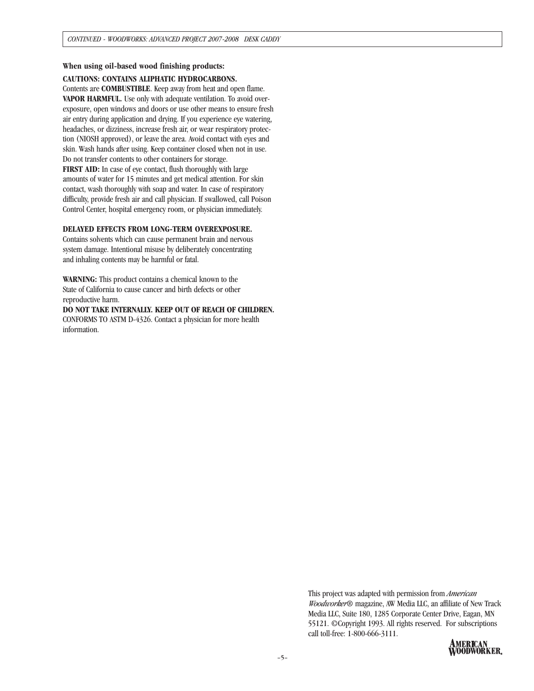#### **When using oil-based wood finishing products:**

#### **CAUTIONS: CONTAINS ALIPHATIC HYDROCARBONS.**

Contents are **COMBUSTIBLE**. Keep away from heat and open flame. **VAPOR HARMFUL.** Use only with adequate ventilation. To avoid overexposure, open windows and doors or use other means to ensure fresh air entry during application and drying. If you experience eye watering, headaches, or dizziness, increase fresh air, or wear respiratory protection (NIOSH approved), or leave the area. Avoid contact with eyes and skin. Wash hands after using. Keep container closed when not in use. Do not transfer contents to other containers for storage. **FIRST AID:** In case of eye contact, flush thoroughly with large amounts of water for 15 minutes and get medical attention. For skin contact, wash thoroughly with soap and water. In case of respiratory difficulty, provide fresh air and call physician. If swallowed, call Poison Control Center, hospital emergency room, or physician immediately.

#### **DELAYED EFFECTS FROM LONG-TERM OVEREXPOSURE.**

Contains solvents which can cause permanent brain and nervous system damage. Intentional misuse by deliberately concentrating and inhaling contents may be harmful or fatal.

**WARNING:** This product contains a chemical known to the State of California to cause cancer and birth defects or other reproductive harm.

**DO NOT TAKE INTERNALLY. KEEP OUT OF REACH OF CHILDREN.** CONFORMS TO ASTM D-4326. Contact a physician for more health information.

> This project was adapted with permission from *American Woodworker*® magazine, AW Media LLC, an affiliate of New Track Media LLC, Suite 180, 1285 Corporate Center Drive, Eagan, MN 55121. ©Copyright 1993. All rights reserved. For subscriptions call toll-free: 1-800-666-3111.

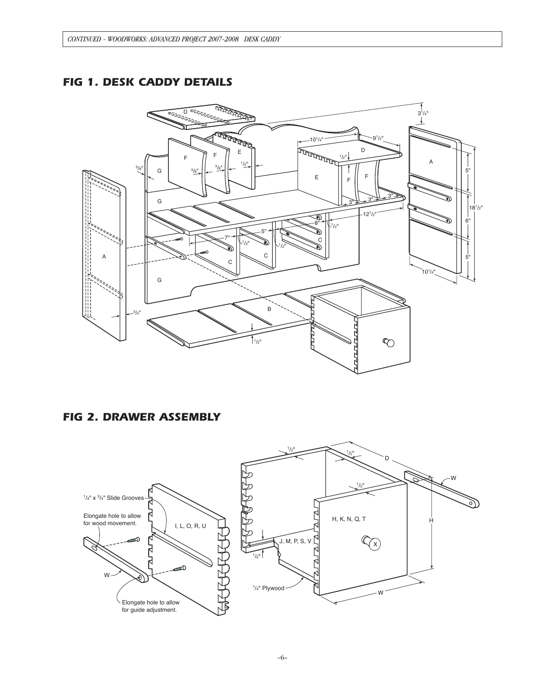### *FIG 1. DESK CADDY DETAILS*



### *FIG 2. DRAWER ASSEMBLY*

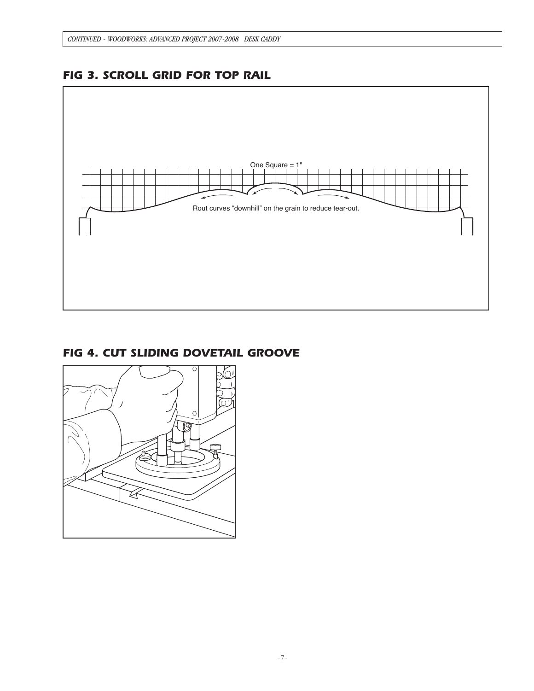

# *FIG 3. SCROLL GRID FOR TOP RAIL*

### *FIG 4. CUT SLIDING DOVETAIL GROOVE*